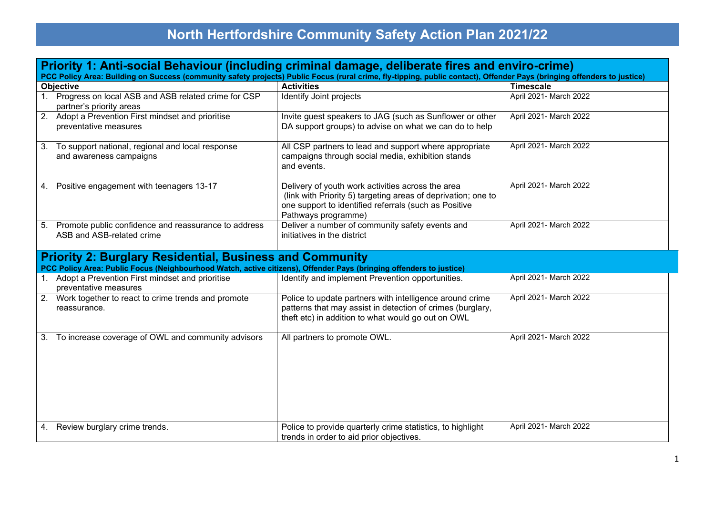## **North Hertfordshire Community Safety Action Plan 2021/22**

| Priority 1: Anti-social Behaviour (including criminal damage, deliberate fires and enviro-crime)<br>PCC Policy Area: Building on Success (community safety projects) Public Focus (rural crime, fly-tipping, public contact), Offender Pays (bringing offenders to justice) |                                                                                                                                                                                                    |                        |  |  |  |
|-----------------------------------------------------------------------------------------------------------------------------------------------------------------------------------------------------------------------------------------------------------------------------|----------------------------------------------------------------------------------------------------------------------------------------------------------------------------------------------------|------------------------|--|--|--|
| Objective                                                                                                                                                                                                                                                                   | <b>Activities</b>                                                                                                                                                                                  | <b>Timescale</b>       |  |  |  |
| 1. Progress on local ASB and ASB related crime for CSP<br>partner's priority areas                                                                                                                                                                                          | <b>Identify Joint projects</b>                                                                                                                                                                     | April 2021- March 2022 |  |  |  |
| 2. Adopt a Prevention First mindset and prioritise<br>preventative measures                                                                                                                                                                                                 | Invite guest speakers to JAG (such as Sunflower or other<br>DA support groups) to advise on what we can do to help                                                                                 | April 2021- March 2022 |  |  |  |
| 3.<br>To support national, regional and local response<br>and awareness campaigns                                                                                                                                                                                           | All CSP partners to lead and support where appropriate<br>campaigns through social media, exhibition stands<br>and events.                                                                         | April 2021- March 2022 |  |  |  |
| 4. Positive engagement with teenagers 13-17                                                                                                                                                                                                                                 | Delivery of youth work activities across the area<br>(link with Priority 5) targeting areas of deprivation; one to<br>one support to identified referrals (such as Positive<br>Pathways programme) | April 2021- March 2022 |  |  |  |
| 5. Promote public confidence and reassurance to address<br>ASB and ASB-related crime                                                                                                                                                                                        | Deliver a number of community safety events and<br>initiatives in the district                                                                                                                     | April 2021- March 2022 |  |  |  |
| <b>Priority 2: Burglary Residential, Business and Community</b><br>PCC Policy Area: Public Focus (Neighbourhood Watch, active citizens), Offender Pays (bringing offenders to justice)                                                                                      |                                                                                                                                                                                                    |                        |  |  |  |
| 1. Adopt a Prevention First mindset and prioritise<br>preventative measures                                                                                                                                                                                                 | Identify and implement Prevention opportunities.                                                                                                                                                   | April 2021- March 2022 |  |  |  |
| 2. Work together to react to crime trends and promote<br>reassurance.                                                                                                                                                                                                       | Police to update partners with intelligence around crime<br>patterns that may assist in detection of crimes (burglary,<br>theft etc) in addition to what would go out on OWL                       | April 2021- March 2022 |  |  |  |
| 3. To increase coverage of OWL and community advisors                                                                                                                                                                                                                       | All partners to promote OWL.                                                                                                                                                                       | April 2021- March 2022 |  |  |  |
| 4. Review burglary crime trends.                                                                                                                                                                                                                                            | Police to provide quarterly crime statistics, to highlight<br>trends in order to aid prior objectives.                                                                                             | April 2021- March 2022 |  |  |  |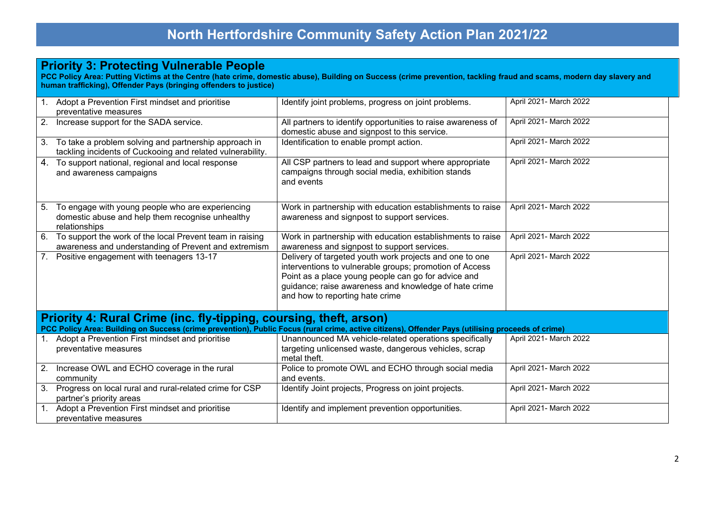## **Priority 3: Protecting Vulnerable People**

**PCC Policy Area: Putting Victims at the Centre (hate crime, domestic abuse), Building on Success (crime prevention, tackling fraud and scams, modern day slavery and human trafficking), Offender Pays (bringing offenders to justice)**

|                                                                                                                                                                                                                         | 1. Adopt a Prevention First mindset and prioritise<br>preventative measures                                            | Identify joint problems, progress on joint problems.                                                                                                                                                                                                                  | April 2021- March 2022 |  |  |
|-------------------------------------------------------------------------------------------------------------------------------------------------------------------------------------------------------------------------|------------------------------------------------------------------------------------------------------------------------|-----------------------------------------------------------------------------------------------------------------------------------------------------------------------------------------------------------------------------------------------------------------------|------------------------|--|--|
|                                                                                                                                                                                                                         | 2. Increase support for the SADA service.                                                                              | All partners to identify opportunities to raise awareness of<br>domestic abuse and signpost to this service.                                                                                                                                                          | April 2021- March 2022 |  |  |
|                                                                                                                                                                                                                         | 3. To take a problem solving and partnership approach in<br>tackling incidents of Cuckooing and related vulnerability. | Identification to enable prompt action.                                                                                                                                                                                                                               | April 2021- March 2022 |  |  |
|                                                                                                                                                                                                                         | 4. To support national, regional and local response<br>and awareness campaigns                                         | All CSP partners to lead and support where appropriate<br>campaigns through social media, exhibition stands<br>and events                                                                                                                                             | April 2021- March 2022 |  |  |
| 5 <sub>1</sub>                                                                                                                                                                                                          | To engage with young people who are experiencing<br>domestic abuse and help them recognise unhealthy<br>relationships  | Work in partnership with education establishments to raise<br>awareness and signpost to support services.                                                                                                                                                             | April 2021- March 2022 |  |  |
|                                                                                                                                                                                                                         | 6. To support the work of the local Prevent team in raising<br>awareness and understanding of Prevent and extremism    | Work in partnership with education establishments to raise<br>awareness and signpost to support services.                                                                                                                                                             | April 2021- March 2022 |  |  |
|                                                                                                                                                                                                                         | 7. Positive engagement with teenagers 13-17                                                                            | Delivery of targeted youth work projects and one to one<br>interventions to vulnerable groups; promotion of Access<br>Point as a place young people can go for advice and<br>guidance; raise awareness and knowledge of hate crime<br>and how to reporting hate crime | April 2021- March 2022 |  |  |
| Priority 4: Rural Crime (inc. fly-tipping, coursing, theft, arson)<br>PCC Policy Area: Building on Success (crime prevention), Public Focus (rural crime, active citizens), Offender Pays (utilising proceeds of crime) |                                                                                                                        |                                                                                                                                                                                                                                                                       |                        |  |  |
|                                                                                                                                                                                                                         | 1. Adopt a Prevention First mindset and prioritise<br>preventative measures                                            | Unannounced MA vehicle-related operations specifically<br>targeting unlicensed waste, dangerous vehicles, scrap<br>metal theft.                                                                                                                                       | April 2021- March 2022 |  |  |
|                                                                                                                                                                                                                         | 2. Increase OWL and ECHO coverage in the rural<br>community                                                            | Police to promote OWL and ECHO through social media<br>and events.                                                                                                                                                                                                    | April 2021- March 2022 |  |  |
|                                                                                                                                                                                                                         | 3. Progress on local rural and rural-related crime for CSP<br>partner's priority areas                                 | Identify Joint projects, Progress on joint projects.                                                                                                                                                                                                                  | April 2021- March 2022 |  |  |
|                                                                                                                                                                                                                         | 1. Adopt a Prevention First mindset and prioritise<br>preventative measures                                            | Identify and implement prevention opportunities.                                                                                                                                                                                                                      | April 2021- March 2022 |  |  |